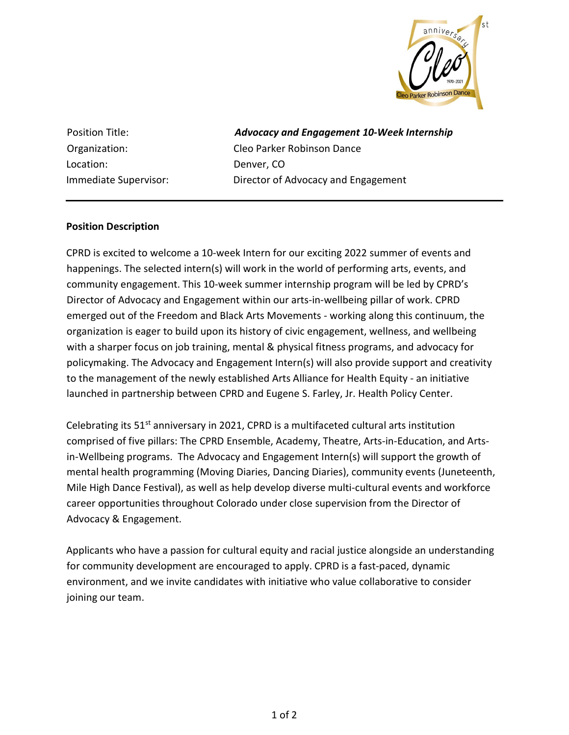

Location: Denver, CO

Position Title: **Advocacy and Engagement 10-Week Internship** Organization: Cleo Parker Robinson Dance Immediate Supervisor: Director of Advocacy and Engagement

## Position Description

CPRD is excited to welcome a 10-week Intern for our exciting 2022 summer of events and happenings. The selected intern(s) will work in the world of performing arts, events, and community engagement. This 10-week summer internship program will be led by CPRD's Director of Advocacy and Engagement within our arts-in-wellbeing pillar of work. CPRD emerged out of the Freedom and Black Arts Movements - working along this continuum, the organization is eager to build upon its history of civic engagement, wellness, and wellbeing with a sharper focus on job training, mental & physical fitness programs, and advocacy for policymaking. The Advocacy and Engagement Intern(s) will also provide support and creativity to the management of the newly established Arts Alliance for Health Equity - an initiative launched in partnership between CPRD and Eugene S. Farley, Jr. Health Policy Center.

Celebrating its  $51<sup>st</sup>$  anniversary in 2021, CPRD is a multifaceted cultural arts institution comprised of five pillars: The CPRD Ensemble, Academy, Theatre, Arts-in-Education, and Artsin-Wellbeing programs. The Advocacy and Engagement Intern(s) will support the growth of mental health programming (Moving Diaries, Dancing Diaries), community events (Juneteenth, Mile High Dance Festival), as well as help develop diverse multi-cultural events and workforce career opportunities throughout Colorado under close supervision from the Director of Advocacy & Engagement.

Applicants who have a passion for cultural equity and racial justice alongside an understanding for community development are encouraged to apply. CPRD is a fast-paced, dynamic environment, and we invite candidates with initiative who value collaborative to consider joining our team.